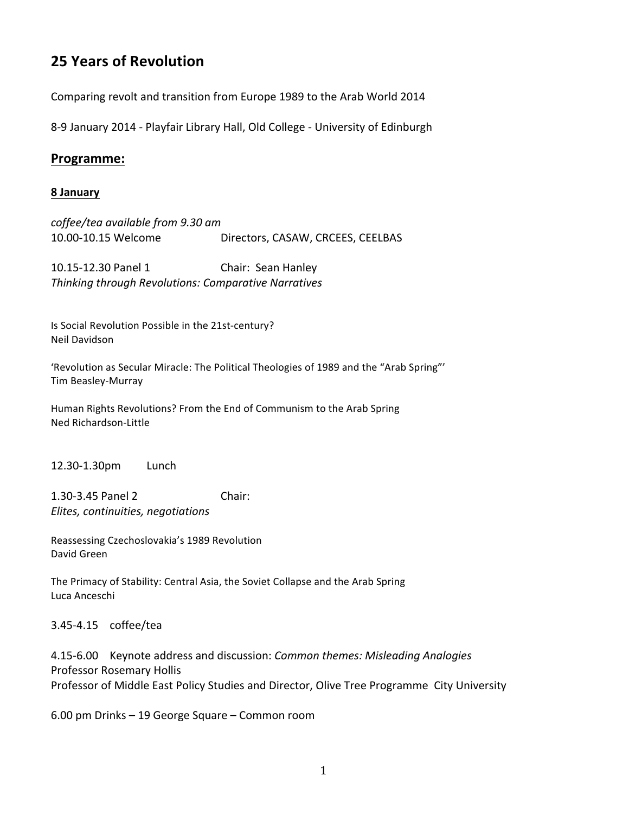## **25 Years of Revolution**

Comparing revolt and transition from Europe 1989 to the Arab World 2014

8-9 January 2014 - Playfair Library Hall, Old College - University of Edinburgh

## **Programme:**

## **8 January**

*coffee/tea(available(from(9.30(am* 10.00-10.15 Welcome Directors, CASAW, CRCEES, CEELBAS

10.15-12.30 Panel 1 Chair: Sean Hanley **Thinking through Revolutions: Comparative Narratives** 

Is Social Revolution Possible in the 21st-century? Neil\*Davidson

'Revolution as Secular Miracle: The Political Theologies of 1989 and the "Arab Spring"' Tim Beasley-Murray

Human Rights Revolutions? From the End of Communism to the Arab Spring Ned Richardson-Little

12.30>1.30pm Lunch

1.30-3.45 Panel 2 Chair: *Elites, continuities, negotiations* 

Reassessing Czechoslovakia's 1989 Revolution David Green

The Primacy of Stability: Central Asia, the Soviet Collapse and the Arab Spring Luca\*Anceschi\*

3.45>4.15 coffee/tea

4.15-6.00 Keynote address and discussion: *Common themes: Misleading Analogies* Professor Rosemary Hollis Professor of Middle East Policy Studies and Director, Olive Tree Programme City University

6.00 pm Drinks – 19 George Square – Common room